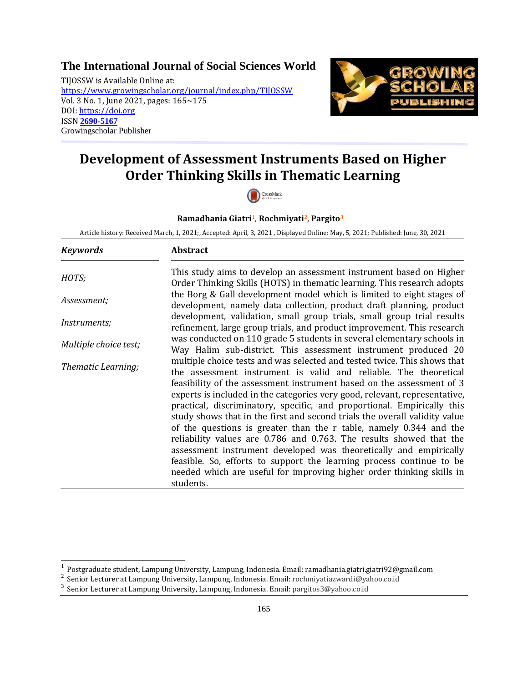# **[The International Journal of Social Sciences World](https://www.growingscholar.org/journal/index.php/TIJOSSW)**

TIJOSSW is Available Online at: <https://www.growingscholar.org/journal/index.php/TIJOSSW> Vol. 3 No. 1, June 2021, pages: 165~175 DOI: [https://doi.org](https://doi.org/) ISSN **[2690-5167](https://portal.issn.org/resource/ISSN/2690-5167)** Growingscholar Publisher



# **Development of Assessment Instruments Based on Higher Order Thinking Skills in Thematic Learning**



#### **Ramadhania Giatri1**, **Rochmiyati2**, **Pargito<sup>3</sup>**

Article history: Received March, 1, 2021;, Accepted: April, 3, 2021 , Displayed Online: May, 5, 2021; Published: June, 30, 2021

| <b>Keywords</b>                 | <b>Abstract</b>                                                                                                                                                                                                                                                                                                                                                                                                                                                                                                                                                                                                                                                                                                                                                                                                                 |
|---------------------------------|---------------------------------------------------------------------------------------------------------------------------------------------------------------------------------------------------------------------------------------------------------------------------------------------------------------------------------------------------------------------------------------------------------------------------------------------------------------------------------------------------------------------------------------------------------------------------------------------------------------------------------------------------------------------------------------------------------------------------------------------------------------------------------------------------------------------------------|
| HOTS;                           | This study aims to develop an assessment instrument based on Higher<br>Order Thinking Skills (HOTS) in thematic learning. This research adopts                                                                                                                                                                                                                                                                                                                                                                                                                                                                                                                                                                                                                                                                                  |
| Assessment;                     | the Borg & Gall development model which is limited to eight stages of<br>development, namely data collection, product draft planning, product                                                                                                                                                                                                                                                                                                                                                                                                                                                                                                                                                                                                                                                                                   |
| <i>Instruments;</i>             | development, validation, small group trials, small group trial results<br>refinement, large group trials, and product improvement. This research                                                                                                                                                                                                                                                                                                                                                                                                                                                                                                                                                                                                                                                                                |
| Multiple choice test;           | was conducted on 110 grade 5 students in several elementary schools in<br>Way Halim sub-district. This assessment instrument produced 20                                                                                                                                                                                                                                                                                                                                                                                                                                                                                                                                                                                                                                                                                        |
| Thematic Learning;<br>students. | multiple choice tests and was selected and tested twice. This shows that<br>the assessment instrument is valid and reliable. The theoretical<br>feasibility of the assessment instrument based on the assessment of 3<br>experts is included in the categories very good, relevant, representative,<br>practical, discriminatory, specific, and proportional. Empirically this<br>study shows that in the first and second trials the overall validity value<br>of the questions is greater than the r table, namely 0.344 and the<br>reliability values are 0.786 and 0.763. The results showed that the<br>assessment instrument developed was theoretically and empirically<br>feasible. So, efforts to support the learning process continue to be<br>needed which are useful for improving higher order thinking skills in |

 $\overline{\phantom{a}}$ 

<sup>1</sup> Postgraduate student, Lampung University, Lampung, Indonesia. Email: ramadhania.giatri.giatri92@gmail.com

<sup>2</sup> Senior Lecturer at Lampung University, Lampung, Indonesia. Email: rochmiyatiazwardi@yahoo.co.id

<sup>3</sup> Senior Lecturer at Lampung University, Lampung, Indonesia. Email: pargitos3@yahoo.co.id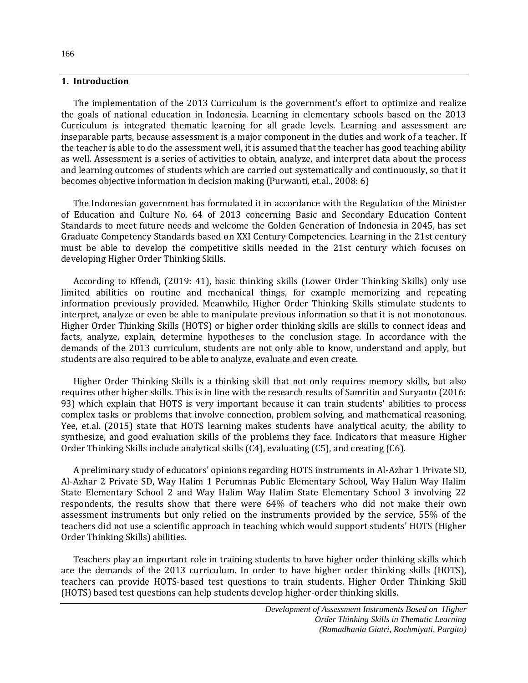# **1. Introduction**

The implementation of the 2013 Curriculum is the government's effort to optimize and realize the goals of national education in Indonesia. Learning in elementary schools based on the 2013 Curriculum is integrated thematic learning for all grade levels. Learning and assessment are inseparable parts, because assessment is a major component in the duties and work of a teacher. If the teacher is able to do the assessment well, it is assumed that the teacher has good teaching ability as well. Assessment is a series of activities to obtain, analyze, and interpret data about the process and learning outcomes of students which are carried out systematically and continuously, so that it becomes objective information in decision making (Purwanti, et.al., 2008: 6)

The Indonesian government has formulated it in accordance with the Regulation of the Minister of Education and Culture No. 64 of 2013 concerning Basic and Secondary Education Content Standards to meet future needs and welcome the Golden Generation of Indonesia in 2045, has set Graduate Competency Standards based on XXI Century Competencies. Learning in the 21st century must be able to develop the competitive skills needed in the 21st century which focuses on developing Higher Order Thinking Skills.

According to Effendi, (2019: 41), basic thinking skills (Lower Order Thinking Skills) only use limited abilities on routine and mechanical things, for example memorizing and repeating information previously provided. Meanwhile, Higher Order Thinking Skills stimulate students to interpret, analyze or even be able to manipulate previous information so that it is not monotonous. Higher Order Thinking Skills (HOTS) or higher order thinking skills are skills to connect ideas and facts, analyze, explain, determine hypotheses to the conclusion stage. In accordance with the demands of the 2013 curriculum, students are not only able to know, understand and apply, but students are also required to be able to analyze, evaluate and even create.

Higher Order Thinking Skills is a thinking skill that not only requires memory skills, but also requires other higher skills. This is in line with the research results of Samritin and Suryanto (2016: 93) which explain that HOTS is very important because it can train students' abilities to process complex tasks or problems that involve connection, problem solving, and mathematical reasoning. Yee, et.al. (2015) state that HOTS learning makes students have analytical acuity, the ability to synthesize, and good evaluation skills of the problems they face. Indicators that measure Higher Order Thinking Skills include analytical skills (C4), evaluating (C5), and creating (C6).

A preliminary study of educators' opinions regarding HOTS instruments in Al-Azhar 1 Private SD, Al-Azhar 2 Private SD, Way Halim 1 Perumnas Public Elementary School, Way Halim Way Halim State Elementary School 2 and Way Halim Way Halim State Elementary School 3 involving 22 respondents, the results show that there were 64% of teachers who did not make their own assessment instruments but only relied on the instruments provided by the service, 55% of the teachers did not use a scientific approach in teaching which would support students' HOTS (Higher Order Thinking Skills) abilities.

Teachers play an important role in training students to have higher order thinking skills which are the demands of the 2013 curriculum. In order to have higher order thinking skills (HOTS), teachers can provide HOTS-based test questions to train students. Higher Order Thinking Skill (HOTS) based test questions can help students develop higher-order thinking skills.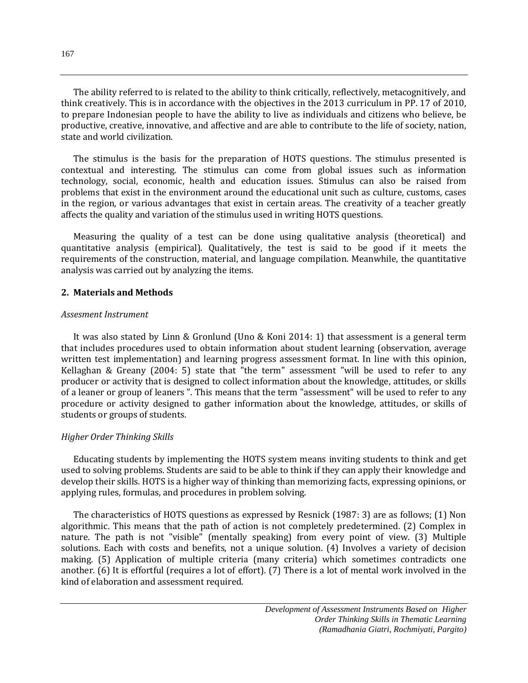The ability referred to is related to the ability to think critically, reflectively, metacognitively, and think creatively. This is in accordance with the objectives in the 2013 curriculum in PP. 17 of 2010, to prepare Indonesian people to have the ability to live as individuals and citizens who believe, be productive, creative, innovative, and affective and are able to contribute to the life of society, nation, state and world civilization.

The stimulus is the basis for the preparation of HOTS questions. The stimulus presented is contextual and interesting. The stimulus can come from global issues such as information technology, social, economic, health and education issues. Stimulus can also be raised from problems that exist in the environment around the educational unit such as culture, customs, cases in the region, or various advantages that exist in certain areas. The creativity of a teacher greatly affects the quality and variation of the stimulus used in writing HOTS questions.

Measuring the quality of a test can be done using qualitative analysis (theoretical) and quantitative analysis (empirical). Qualitatively, the test is said to be good if it meets the requirements of the construction, material, and language compilation. Meanwhile, the quantitative analysis was carried out by analyzing the items.

# **2. Materials and Methods**

#### *Assesment Instrument*

It was also stated by Linn & Gronlund (Uno & Koni 2014: 1) that assessment is a general term that includes procedures used to obtain information about student learning (observation, average written test implementation) and learning progress assessment format. In line with this opinion, Kellaghan & Greany (2004: 5) state that "the term" assessment "will be used to refer to any producer or activity that is designed to collect information about the knowledge, attitudes, or skills of a leaner or group of leaners ". This means that the term "assessment" will be used to refer to any procedure or activity designed to gather information about the knowledge, attitudes, or skills of students or groups of students.

# *Higher Order Thinking Skills*

Educating students by implementing the HOTS system means inviting students to think and get used to solving problems. Students are said to be able to think if they can apply their knowledge and develop their skills. HOTS is a higher way of thinking than memorizing facts, expressing opinions, or applying rules, formulas, and procedures in problem solving.

The characteristics of HOTS questions as expressed by Resnick (1987: 3) are as follows; (1) Non algorithmic. This means that the path of action is not completely predetermined. (2) Complex in nature. The path is not "visible" (mentally speaking) from every point of view. (3) Multiple solutions. Each with costs and benefits, not a unique solution. (4) Involves a variety of decision making. (5) Application of multiple criteria (many criteria) which sometimes contradicts one another. (6) It is effortful (requires a lot of effort). (7) There is a lot of mental work involved in the kind of elaboration and assessment required.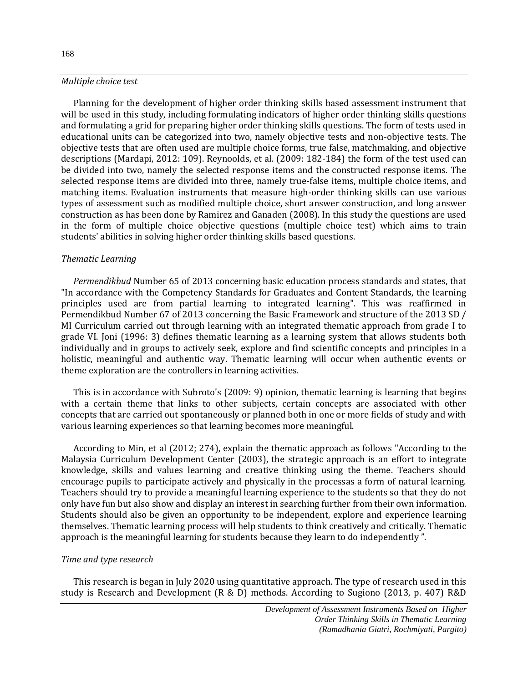#### 168

#### *Multiple choice test*

Planning for the development of higher order thinking skills based assessment instrument that will be used in this study, including formulating indicators of higher order thinking skills questions and formulating a grid for preparing higher order thinking skills questions. The form of tests used in educational units can be categorized into two, namely objective tests and non-objective tests. The objective tests that are often used are multiple choice forms, true false, matchmaking, and objective descriptions (Mardapi, 2012: 109). Reynoolds, et al. (2009: 182-184) the form of the test used can be divided into two, namely the selected response items and the constructed response items. The selected response items are divided into three, namely true-false items, multiple choice items, and matching items. Evaluation instruments that measure high-order thinking skills can use various types of assessment such as modified multiple choice, short answer construction, and long answer construction as has been done by Ramirez and Ganaden (2008). In this study the questions are used in the form of multiple choice objective questions (multiple choice test) which aims to train students' abilities in solving higher order thinking skills based questions.

#### *Thematic Learning*

*Permendikbud* Number 65 of 2013 concerning basic education process standards and states, that "In accordance with the Competency Standards for Graduates and Content Standards, the learning principles used are from partial learning to integrated learning". This was reaffirmed in Permendikbud Number 67 of 2013 concerning the Basic Framework and structure of the 2013 SD / MI Curriculum carried out through learning with an integrated thematic approach from grade I to grade VI. Joni (1996: 3) defines thematic learning as a learning system that allows students both individually and in groups to actively seek, explore and find scientific concepts and principles in a holistic, meaningful and authentic way. Thematic learning will occur when authentic events or theme exploration are the controllers in learning activities.

This is in accordance with Subroto's (2009: 9) opinion, thematic learning is learning that begins with a certain theme that links to other subjects, certain concepts are associated with other concepts that are carried out spontaneously or planned both in one or more fields of study and with various learning experiences so that learning becomes more meaningful.

According to Min, et al (2012; 274), explain the thematic approach as follows "According to the Malaysia Curriculum Development Center (2003), the strategic approach is an effort to integrate knowledge, skills and values learning and creative thinking using the theme. Teachers should encourage pupils to participate actively and physically in the processas a form of natural learning. Teachers should try to provide a meaningful learning experience to the students so that they do not only have fun but also show and display an interest in searching further from their own information. Students should also be given an opportunity to be independent, explore and experience learning themselves. Thematic learning process will help students to think creatively and critically. Thematic approach is the meaningful learning for students because they learn to do independently ".

#### *Time and type research*

This research is began in July 2020 using quantitative approach. The type of research used in this study is Research and Development (R & D) methods. According to Sugiono (2013, p. 407) R&D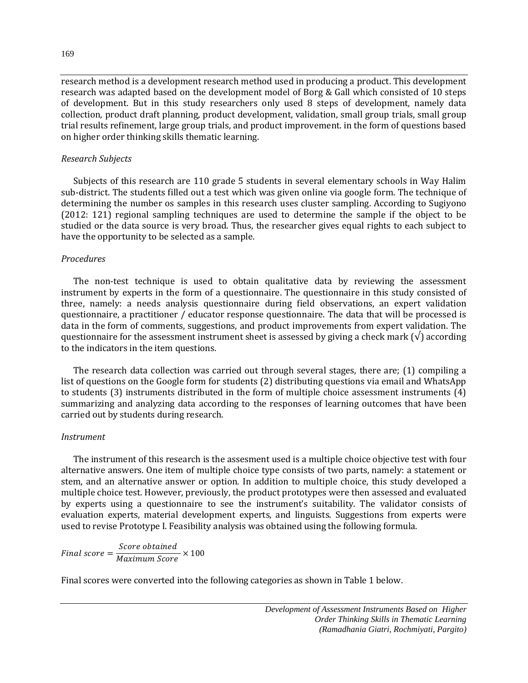research method is a development research method used in producing a product. This development research was adapted based on the development model of Borg & Gall which consisted of 10 steps of development. But in this study researchers only used 8 steps of development, namely data collection, product draft planning, product development, validation, small group trials, small group trial results refinement, large group trials, and product improvement. in the form of questions based on higher order thinking skills thematic learning.

# *Research Subjects*

Subjects of this research are 110 grade 5 students in several elementary schools in Way Halim sub-district. The students filled out a test which was given online via google form. The technique of determining the number os samples in this research uses cluster sampling. According to Sugiyono (2012: 121) regional sampling techniques are used to determine the sample if the object to be studied or the data source is very broad. Thus, the researcher gives equal rights to each subject to have the opportunity to be selected as a sample.

# *Procedures*

The non-test technique is used to obtain qualitative data by reviewing the assessment instrument by experts in the form of a questionnaire. The questionnaire in this study consisted of three, namely: a needs analysis questionnaire during field observations, an expert validation questionnaire, a practitioner / educator response questionnaire. The data that will be processed is data in the form of comments, suggestions, and product improvements from expert validation. The questionnaire for the assessment instrument sheet is assessed by giving a check mark  $(\sqrt{\ } )$  according to the indicators in the item questions.

The research data collection was carried out through several stages, there are; (1) compiling a list of questions on the Google form for students (2) distributing questions via email and WhatsApp to students (3) instruments distributed in the form of multiple choice assessment instruments (4) summarizing and analyzing data according to the responses of learning outcomes that have been carried out by students during research.

# *Instrument*

The instrument of this research is the assesment used is a multiple choice objective test with four alternative answers. One item of multiple choice type consists of two parts, namely: a statement or stem, and an alternative answer or option. In addition to multiple choice, this study developed a multiple choice test. However, previously, the product prototypes were then assessed and evaluated by experts using a questionnaire to see the instrument's suitability. The validator consists of evaluation experts, material development experts, and linguists. Suggestions from experts were used to revise Prototype I. Feasibility analysis was obtained using the following formula.

Final score =  $\frac{Score\;obtained}{M\;minum\;Gauss}$  $\frac{1}{Maximum Score} \times 100$ 

Final scores were converted into the following categories as shown in Table 1 below.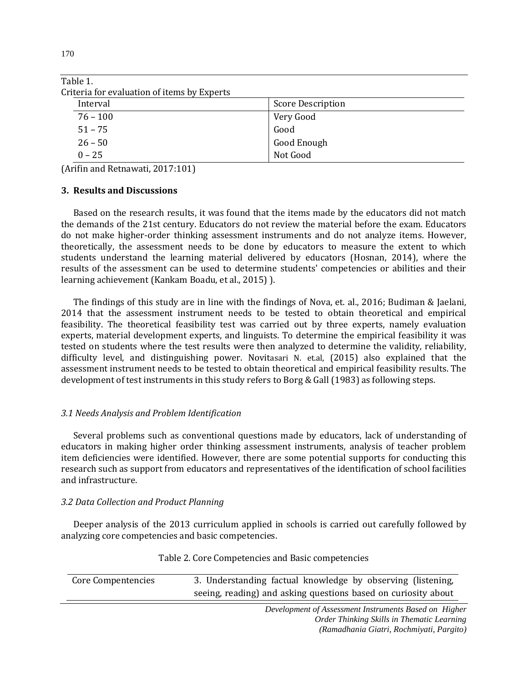| <b>Score Description</b> |
|--------------------------|
| Very Good                |
| Good                     |
| Good Enough              |
| Not Good                 |
|                          |

(Arifin and Retnawati, 2017:101)

#### **3. Results and Discussions**

Based on the research results, it was found that the items made by the educators did not match the demands of the 21st century. Educators do not review the material before the exam. Educators do not make higher-order thinking assessment instruments and do not analyze items. However, theoretically, the assessment needs to be done by educators to measure the extent to which students understand the learning material delivered by educators (Hosnan, 2014), where the results of the assessment can be used to determine students' competencies or abilities and their learning achievement (Kankam Boadu, et al., 2015) ).

The findings of this study are in line with the findings of Nova, et. al., 2016; Budiman & Jaelani, 2014 that the assessment instrument needs to be tested to obtain theoretical and empirical feasibility. The theoretical feasibility test was carried out by three experts, namely evaluation experts, material development experts, and linguists. To determine the empirical feasibility it was tested on students where the test results were then analyzed to determine the validity, reliability, difficulty level, and distinguishing power. Novitasari N. et.al, (2015) also explained that the assessment instrument needs to be tested to obtain theoretical and empirical feasibility results. The development of test instruments in this study refers to Borg & Gall (1983) as following steps.

# *3.1 Needs Analysis and Problem Identification*

Several problems such as conventional questions made by educators, lack of understanding of educators in making higher order thinking assessment instruments, analysis of teacher problem item deficiencies were identified. However, there are some potential supports for conducting this research such as support from educators and representatives of the identification of school facilities and infrastructure.

#### *3.2 Data Collection and Product Planning*

Deeper analysis of the 2013 curriculum applied in schools is carried out carefully followed by analyzing core competencies and basic competencies.

| Core Compentencies | 3. Understanding factual knowledge by observing (listening,    |  |  |
|--------------------|----------------------------------------------------------------|--|--|
|                    | seeing, reading) and asking questions based on curiosity about |  |  |

#### Table 2. Core Competencies and Basic competencies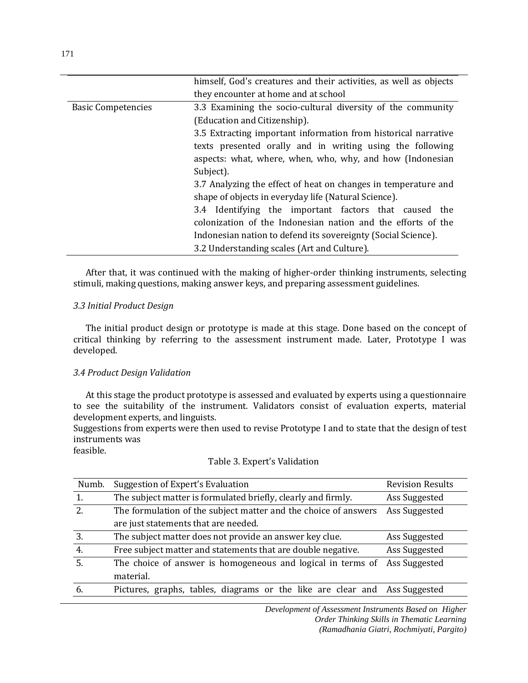|                           | himself, God's creatures and their activities, as well as objects |  |  |
|---------------------------|-------------------------------------------------------------------|--|--|
|                           | they encounter at home and at school                              |  |  |
| <b>Basic Competencies</b> | 3.3 Examining the socio-cultural diversity of the community       |  |  |
|                           | (Education and Citizenship).                                      |  |  |
|                           | 3.5 Extracting important information from historical narrative    |  |  |
|                           | texts presented orally and in writing using the following         |  |  |
|                           | aspects: what, where, when, who, why, and how (Indonesian         |  |  |
|                           | Subject).                                                         |  |  |
|                           | 3.7 Analyzing the effect of heat on changes in temperature and    |  |  |
|                           | shape of objects in everyday life (Natural Science).              |  |  |
|                           | Identifying the important factors that caused the<br>3.4          |  |  |
|                           | colonization of the Indonesian nation and the efforts of the      |  |  |
|                           | Indonesian nation to defend its sovereignty (Social Science).     |  |  |
|                           | 3.2 Understanding scales (Art and Culture).                       |  |  |

After that, it was continued with the making of higher-order thinking instruments, selecting stimuli, making questions, making answer keys, and preparing assessment guidelines.

# *3.3 Initial Product Design*

The initial product design or prototype is made at this stage. Done based on the concept of critical thinking by referring to the assessment instrument made. Later, Prototype I was developed.

# *3.4 Product Design Validation*

At this stage the product prototype is assessed and evaluated by experts using a questionnaire to see the suitability of the instrument. Validators consist of evaluation experts, material development experts, and linguists.

Suggestions from experts were then used to revise Prototype I and to state that the design of test instruments was

feasible.

#### Table 3. Expert's Validation

| Numb. | Suggestion of Expert's Evaluation                                          | <b>Revision Results</b> |
|-------|----------------------------------------------------------------------------|-------------------------|
| 1.    | The subject matter is formulated briefly, clearly and firmly.              | Ass Suggested           |
| 2.    | The formulation of the subject matter and the choice of answers            | Ass Suggested           |
|       | are just statements that are needed.                                       |                         |
| 3.    | The subject matter does not provide an answer key clue.                    | Ass Suggested           |
| 4.    | Free subject matter and statements that are double negative.               | Ass Suggested           |
| 5.    | The choice of answer is homogeneous and logical in terms of                | Ass Suggested           |
|       | material.                                                                  |                         |
| 6.    | Pictures, graphs, tables, diagrams or the like are clear and Ass Suggested |                         |
|       |                                                                            |                         |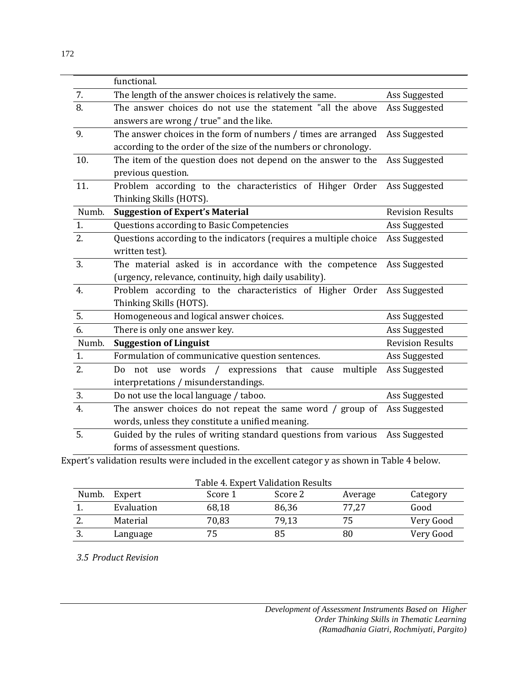|                  | functional.                                                                        |                         |
|------------------|------------------------------------------------------------------------------------|-------------------------|
| 7.               | The length of the answer choices is relatively the same.                           | Ass Suggested           |
| $\overline{8}$ . | The answer choices do not use the statement "all the above                         | Ass Suggested           |
|                  | answers are wrong / true" and the like.                                            |                         |
| 9.               | The answer choices in the form of numbers / times are arranged                     | Ass Suggested           |
|                  | according to the order of the size of the numbers or chronology.                   |                         |
| 10.              | The item of the question does not depend on the answer to the                      | Ass Suggested           |
|                  | previous question.                                                                 |                         |
| 11.              | Problem according to the characteristics of Hihger Order                           | Ass Suggested           |
|                  | Thinking Skills (HOTS).                                                            |                         |
| Numb.            | <b>Suggestion of Expert's Material</b>                                             | <b>Revision Results</b> |
| 1.               | Questions according to Basic Competencies                                          | Ass Suggested           |
| 2.               | Questions according to the indicators (requires a multiple choice<br>Ass Suggested |                         |
|                  | written test).                                                                     |                         |
| 3.               | The material asked is in accordance with the competence                            | Ass Suggested           |
|                  | (urgency, relevance, continuity, high daily usability).                            |                         |
| $\overline{4}$ . | Problem according to the characteristics of Higher Order                           | Ass Suggested           |
|                  | Thinking Skills (HOTS).                                                            |                         |
| 5.               | Homogeneous and logical answer choices.                                            | Ass Suggested           |
| 6.               | There is only one answer key.                                                      | Ass Suggested           |
| Numb.            | <b>Suggestion of Linguist</b>                                                      | <b>Revision Results</b> |
| 1.               | Formulation of communicative question sentences.                                   | Ass Suggested           |
| 2.               | Do not use words<br>/ expressions that cause<br>multiple                           | Ass Suggested           |
|                  | interpretations / misunderstandings.                                               |                         |
| 3.               | Do not use the local language / taboo.                                             | Ass Suggested           |
| 4.               | The answer choices do not repeat the same word / group of                          | Ass Suggested           |
|                  | words, unless they constitute a unified meaning.                                   |                         |
| 5.               | Guided by the rules of writing standard questions from various                     | Ass Suggested           |

forms of assessment questions.

Expert's validation results were included in the excellent categor y as shown in Table 4 below.

| Table 4. Expert Validation Results |            |         |         |         |           |
|------------------------------------|------------|---------|---------|---------|-----------|
| Numb.                              | Expert     | Score 1 | Score 2 | Average | Category  |
|                                    | Evaluation | 68,18   | 86,36   | 77,27   | Good      |
| <u>.</u>                           | Material   | 70,83   | 79,13   | 75      | Very Good |
|                                    | Language   | 75      | 85      | 80      | Very Good |

*3.5 Product Revision*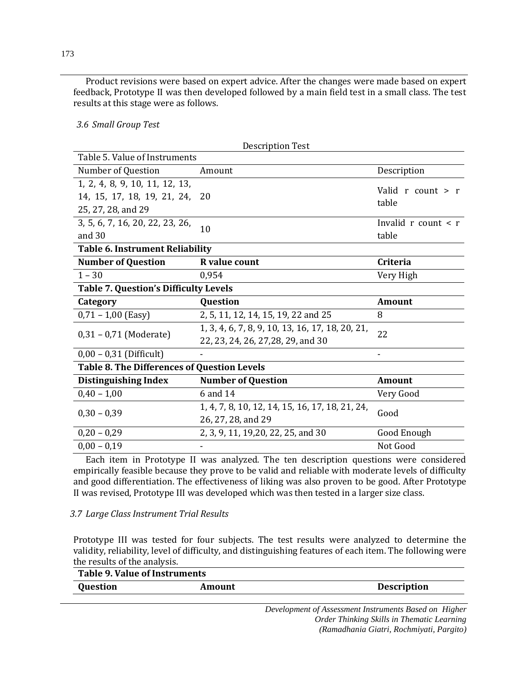Product revisions were based on expert advice. After the changes were made based on expert feedback, Prototype II was then developed followed by a main field test in a small class. The test results at this stage were as follows.

*3.6 Small Group Test*

| <b>Description Test</b>                            |                                                  |                            |  |  |
|----------------------------------------------------|--------------------------------------------------|----------------------------|--|--|
| Table 5. Value of Instruments                      |                                                  |                            |  |  |
| Number of Question                                 | Amount                                           | Description                |  |  |
| 1, 2, 4, 8, 9, 10, 11, 12, 13,                     |                                                  | Valid $r$ count $\geq r$   |  |  |
| 14, 15, 17, 18, 19, 21, 24,                        | 20                                               |                            |  |  |
| 25, 27, 28, and 29                                 |                                                  | table                      |  |  |
| 3, 5, 6, 7, 16, 20, 22, 23, 26,                    |                                                  | Invalid $r$ count $\leq r$ |  |  |
| and $30$                                           | 10                                               | table                      |  |  |
| <b>Table 6. Instrument Reliability</b>             |                                                  |                            |  |  |
| <b>Number of Question</b>                          | R value count                                    | Criteria                   |  |  |
| $1 - 30$                                           | 0.954                                            | Very High                  |  |  |
| <b>Table 7. Question's Difficulty Levels</b>       |                                                  |                            |  |  |
| Category                                           | <b>Question</b>                                  | Amount                     |  |  |
| $0,71 - 1,00$ (Easy)                               | 2, 5, 11, 12, 14, 15, 19, 22 and 25              | 8                          |  |  |
|                                                    | 1, 3, 4, 6, 7, 8, 9, 10, 13, 16, 17, 18, 20, 21, | 22                         |  |  |
| $0,31 - 0,71$ (Moderate)                           | 22, 23, 24, 26, 27, 28, 29, and 30               |                            |  |  |
| $0,00 - 0,31$ (Difficult)                          |                                                  |                            |  |  |
| <b>Table 8. The Differences of Question Levels</b> |                                                  |                            |  |  |
| <b>Distinguishing Index</b>                        | <b>Number of Question</b>                        | <b>Amount</b>              |  |  |
| $0,40 - 1,00$                                      | 6 and 14                                         | Very Good                  |  |  |
| $0.30 - 0.39$                                      | 1, 4, 7, 8, 10, 12, 14, 15, 16, 17, 18, 21, 24,  |                            |  |  |
|                                                    | 26, 27, 28, and 29                               | Good                       |  |  |
| $0,20 - 0,29$                                      | 2, 3, 9, 11, 19, 20, 22, 25, and 30              | Good Enough                |  |  |
| $0,00 - 0,19$                                      |                                                  | Not Good                   |  |  |

Each item in Prototype II was analyzed. The ten description questions were considered empirically feasible because they prove to be valid and reliable with moderate levels of difficulty and good differentiation. The effectiveness of liking was also proven to be good. After Prototype II was revised, Prototype III was developed which was then tested in a larger size class.

# *3.7 Large Class Instrument Trial Results*

Prototype III was tested for four subjects. The test results were analyzed to determine the validity, reliability, level of difficulty, and distinguishing features of each item. The following were the results of the analysis.

| Table 9. Value of Instruments |                    |  |
|-------------------------------|--------------------|--|
| Amount                        | <b>Description</b> |  |
|                               |                    |  |
|                               |                    |  |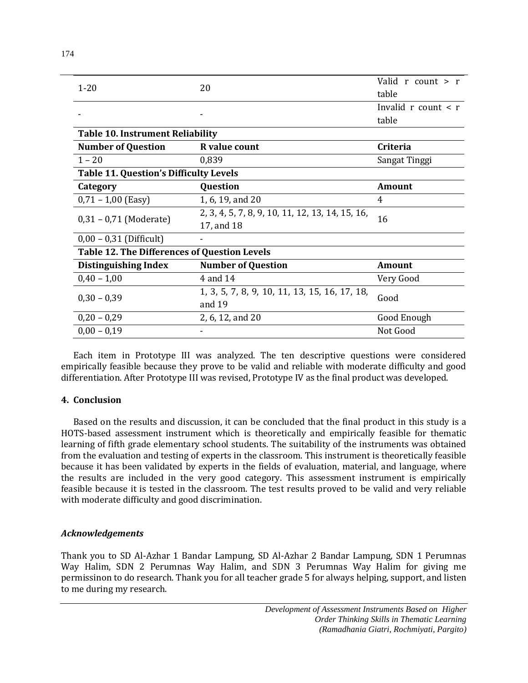| $1 - 20$                                            |                                                  | Valid r count $>$ r        |  |  |  |
|-----------------------------------------------------|--------------------------------------------------|----------------------------|--|--|--|
|                                                     | 20                                               | table                      |  |  |  |
|                                                     |                                                  | Invalid $r$ count $\leq r$ |  |  |  |
|                                                     |                                                  | table                      |  |  |  |
|                                                     | <b>Table 10. Instrument Reliability</b>          |                            |  |  |  |
| <b>Number of Question</b>                           | R value count                                    | Criteria                   |  |  |  |
| $1 - 20$                                            | 0,839                                            | Sangat Tinggi              |  |  |  |
| <b>Table 11. Question's Difficulty Levels</b>       |                                                  |                            |  |  |  |
| Category                                            | Question                                         | <b>Amount</b>              |  |  |  |
| $0,71 - 1,00$ (Easy)                                | 1, 6, 19, and 20                                 | 4                          |  |  |  |
| $0,31 - 0,71$ (Moderate)                            | 2, 3, 4, 5, 7, 8, 9, 10, 11, 12, 13, 14, 15, 16, | 16                         |  |  |  |
|                                                     | 17, and 18                                       |                            |  |  |  |
| $0,00 - 0,31$ (Difficult)                           |                                                  |                            |  |  |  |
| <b>Table 12. The Differences of Question Levels</b> |                                                  |                            |  |  |  |
| <b>Distinguishing Index</b>                         | <b>Number of Question</b>                        | <b>Amount</b>              |  |  |  |
| $0,40 - 1,00$                                       | 4 and 14                                         | Very Good                  |  |  |  |
|                                                     | 1, 3, 5, 7, 8, 9, 10, 11, 13, 15, 16, 17, 18,    |                            |  |  |  |
| $0,30 - 0,39$                                       | and 19                                           | Good                       |  |  |  |
| $0,20 - 0,29$                                       | 2, 6, 12, and 20                                 | Good Enough                |  |  |  |
| $0.00 - 0.19$                                       |                                                  | Not Good                   |  |  |  |

Each item in Prototype III was analyzed. The ten descriptive questions were considered empirically feasible because they prove to be valid and reliable with moderate difficulty and good differentiation. After Prototype III was revised, Prototype IV as the final product was developed.

# **4. Conclusion**

Based on the results and discussion, it can be concluded that the final product in this study is a HOTS-based assessment instrument which is theoretically and empirically feasible for thematic learning of fifth grade elementary school students. The suitability of the instruments was obtained from the evaluation and testing of experts in the classroom. This instrument is theoretically feasible because it has been validated by experts in the fields of evaluation, material, and language, where the results are included in the very good category. This assessment instrument is empirically feasible because it is tested in the classroom. The test results proved to be valid and very reliable with moderate difficulty and good discrimination.

# *Acknowledgements*

Thank you to SD Al-Azhar 1 Bandar Lampung, SD Al-Azhar 2 Bandar Lampung, SDN 1 Perumnas Way Halim, SDN 2 Perumnas Way Halim, and SDN 3 Perumnas Way Halim for giving me permissinon to do research. Thank you for all teacher grade 5 for always helping, support, and listen to me during my research.